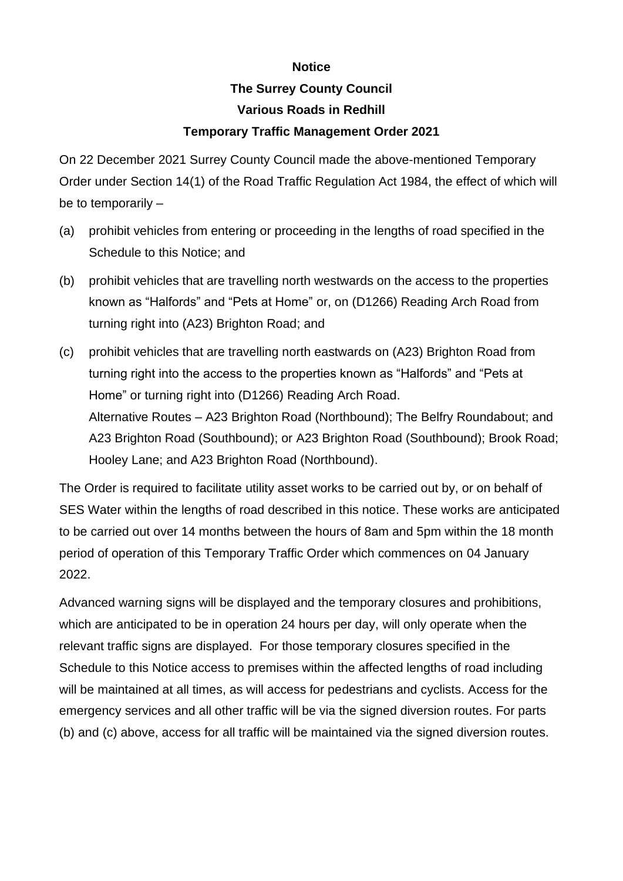## **Notice**

## **The Surrey County Council Various Roads in Redhill**

## **Temporary Traffic Management Order 2021**

On 22 December 2021 Surrey County Council made the above-mentioned Temporary Order under Section 14(1) of the Road Traffic Regulation Act 1984, the effect of which will be to temporarily –

- (a) prohibit vehicles from entering or proceeding in the lengths of road specified in the Schedule to this Notice; and
- (b) prohibit vehicles that are travelling north westwards on the access to the properties known as "Halfords" and "Pets at Home" or, on (D1266) Reading Arch Road from turning right into (A23) Brighton Road; and
- (c) prohibit vehicles that are travelling north eastwards on (A23) Brighton Road from turning right into the access to the properties known as "Halfords" and "Pets at Home" or turning right into (D1266) Reading Arch Road. Alternative Routes – A23 Brighton Road (Northbound); The Belfry Roundabout; and A23 Brighton Road (Southbound); or A23 Brighton Road (Southbound); Brook Road; Hooley Lane; and A23 Brighton Road (Northbound).

The Order is required to facilitate utility asset works to be carried out by, or on behalf of SES Water within the lengths of road described in this notice. These works are anticipated to be carried out over 14 months between the hours of 8am and 5pm within the 18 month period of operation of this Temporary Traffic Order which commences on 04 January 2022.

Advanced warning signs will be displayed and the temporary closures and prohibitions, which are anticipated to be in operation 24 hours per day, will only operate when the relevant traffic signs are displayed. For those temporary closures specified in the Schedule to this Notice access to premises within the affected lengths of road including will be maintained at all times, as will access for pedestrians and cyclists. Access for the emergency services and all other traffic will be via the signed diversion routes. For parts (b) and (c) above, access for all traffic will be maintained via the signed diversion routes.